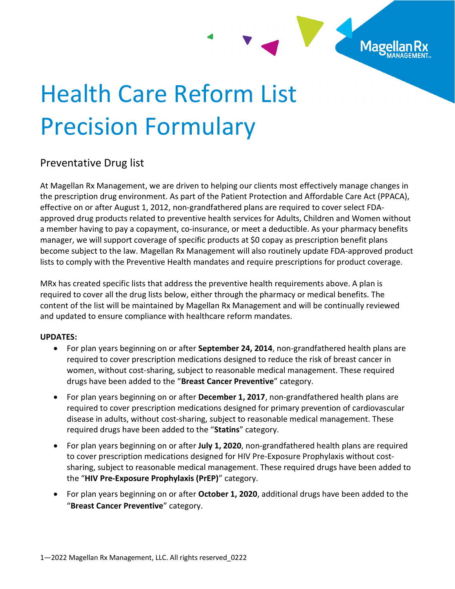

## Health Care Reform List Precision Formulary

## Preventative Drug list

At Magellan Rx Management, we are driven to helping our clients most effectively manage changes in the prescription drug environment. As part of the Patient Protection and Affordable Care Act (PPACA), effective on or after August 1, 2012, non-grandfathered plans are required to cover select FDAapproved drug products related to preventive health services for Adults, Children and Women without a member having to pay a copayment, co-insurance, or meet a deductible. As your pharmacy benefits manager, we will support coverage of specific products at \$0 copay as prescription benefit plans become subject to the law. Magellan Rx Management will also routinely update FDA-approved product lists to comply with the Preventive Health mandates and require prescriptions for product coverage.

MRx has created specific lists that address the preventive health requirements above. A plan is required to cover all the drug lists below, either through the pharmacy or medical benefits. The content of the list will be maintained by Magellan Rx Management and will be continually reviewed and updated to ensure compliance with healthcare reform mandates.

## UPDATES:

- For plan years beginning on or after **September 24, 2014**, non-grandfathered health plans are required to cover prescription medications designed to reduce the risk of breast cancer in women, without cost-sharing, subject to reasonable medical management. These required drugs have been added to the "Breast Cancer Preventive" category.
- For plan years beginning on or after December 1, 2017, non-grandfathered health plans are required to cover prescription medications designed for primary prevention of cardiovascular disease in adults, without cost-sharing, subject to reasonable medical management. These required drugs have been added to the "Statins" category.
- For plan years beginning on or after July 1, 2020, non-grandfathered health plans are required to cover prescription medications designed for HIV Pre-Exposure Prophylaxis without costsharing, subject to reasonable medical management. These required drugs have been added to the "HIV Pre-Exposure Prophylaxis (PrEP)" category.
- For plan years beginning on or after October 1, 2020, additional drugs have been added to the "Breast Cancer Preventive" category.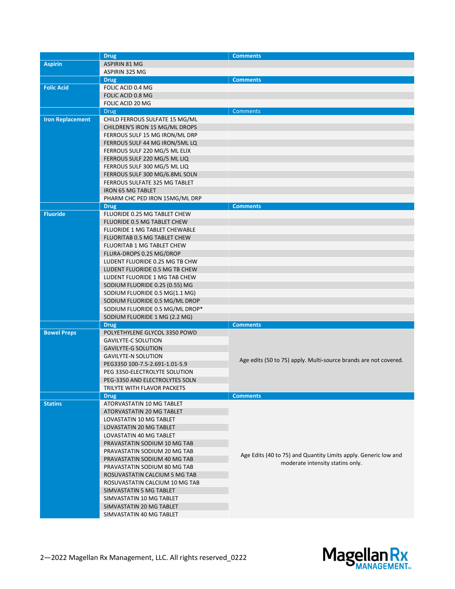|                         | <b>Drug</b>                        | <b>Comments</b>                                                                                     |
|-------------------------|------------------------------------|-----------------------------------------------------------------------------------------------------|
| <b>Aspirin</b>          | <b>ASPIRIN 81 MG</b>               |                                                                                                     |
|                         | ASPIRIN 325 MG                     |                                                                                                     |
|                         | <b>Drug</b>                        | <b>Comments</b>                                                                                     |
| <b>Folic Acid</b>       | FOLIC ACID 0.4 MG                  |                                                                                                     |
|                         | FOLIC ACID 0.8 MG                  |                                                                                                     |
|                         | FOLIC ACID 20 MG                   |                                                                                                     |
|                         | <b>Drug</b>                        | <b>Comments</b>                                                                                     |
| <b>Iron Replacement</b> | CHILD FERROUS SULFATE 15 MG/ML     |                                                                                                     |
|                         | CHILDREN'S IRON 15 MG/ML DROPS     |                                                                                                     |
|                         | FERROUS SULF 15 MG IRON/ML DRP     |                                                                                                     |
|                         | FERROUS SULF 44 MG IRON/5ML LQ     |                                                                                                     |
|                         | FERROUS SULF 220 MG/5 ML ELIX      |                                                                                                     |
|                         | FERROUS SULF 220 MG/5 ML LIQ       |                                                                                                     |
|                         | FERROUS SULF 300 MG/5 ML LIQ       |                                                                                                     |
|                         | FERROUS SULF 300 MG/6.8ML SOLN     |                                                                                                     |
|                         | FERROUS SULFATE 325 MG TABLET      |                                                                                                     |
|                         | <b>IRON 65 MG TABLET</b>           |                                                                                                     |
|                         | PHARM CHC PED IRON 15MG/ML DRP     |                                                                                                     |
|                         | <b>Drug</b>                        | <b>Comments</b>                                                                                     |
| <b>Fluoride</b>         | FLUORIDE 0.25 MG TABLET CHEW       |                                                                                                     |
|                         | <b>FLUORIDE 0.5 MG TABLET CHEW</b> |                                                                                                     |
|                         | FLUORIDE 1 MG TABLET CHEWABLE      |                                                                                                     |
|                         | FLUORITAB 0.5 MG TABLET CHEW       |                                                                                                     |
|                         | <b>FLUORITAB 1 MG TABLET CHEW</b>  |                                                                                                     |
|                         | FLURA-DROPS 0.25 MG/DROP           |                                                                                                     |
|                         | LUDENT FLUORIDE 0.25 MG TB CHW     |                                                                                                     |
|                         | LUDENT FLUORIDE 0.5 MG TB CHEW     |                                                                                                     |
|                         | LUDENT FLUORIDE 1 MG TAB CHEW      |                                                                                                     |
|                         | SODIUM FLUORIDE 0.25 (0.55) MG     |                                                                                                     |
|                         | SODIUM FLUORIDE 0.5 MG(1.1 MG)     |                                                                                                     |
|                         | SODIUM FLUORIDE 0.5 MG/ML DROP     |                                                                                                     |
|                         | SODIUM FLUORIDE 0.5 MG/ML DROP*    |                                                                                                     |
|                         | SODIUM FLUORIDE 1 MG (2.2 MG)      |                                                                                                     |
|                         | <b>Drug</b>                        | <b>Comments</b>                                                                                     |
| <b>Bowel Preps</b>      | POLYETHYLENE GLYCOL 3350 POWD      |                                                                                                     |
|                         | <b>GAVILYTE-C SOLUTION</b>         |                                                                                                     |
|                         | <b>GAVILYTE-G SOLUTION</b>         |                                                                                                     |
|                         | <b>GAVILYTE-N SOLUTION</b>         |                                                                                                     |
|                         | PEG3350 100-7.5-2.691-1.01-5.9     | Age edits (50 to 75) apply. Multi-source brands are not covered.                                    |
|                         | PEG 3350-ELECTROLYTE SOLUTION      |                                                                                                     |
|                         | PEG-3350 AND ELECTROLYTES SOLN     |                                                                                                     |
|                         | TRILYTE WITH FLAVOR PACKETS        |                                                                                                     |
|                         | <b>Drug</b>                        | <b>Comments</b>                                                                                     |
| <b>Statins</b>          | ATORVASTATIN 10 MG TABLET          |                                                                                                     |
|                         | ATORVASTATIN 20 MG TABLET          |                                                                                                     |
|                         | LOVASTATIN 10 MG TABLET            |                                                                                                     |
|                         | LOVASTATIN 20 MG TABLET            |                                                                                                     |
|                         | LOVASTATIN 40 MG TABLET            |                                                                                                     |
|                         | PRAVASTATIN SODIUM 10 MG TAB       |                                                                                                     |
|                         | PRAVASTATIN SODIUM 20 MG TAB       |                                                                                                     |
|                         | PRAVASTATIN SODIUM 40 MG TAB       | Age Edits (40 to 75) and Quantity Limits apply. Generic low and<br>moderate intensity statins only. |
|                         | PRAVASTATIN SODIUM 80 MG TAB       |                                                                                                     |
|                         | ROSUVASTATIN CALCIUM 5 MG TAB      |                                                                                                     |
|                         | ROSUVASTATIN CALCIUM 10 MG TAB     |                                                                                                     |
|                         | SIMVASTATIN 5 MG TABLET            |                                                                                                     |
|                         | SIMVASTATIN 10 MG TABLET           |                                                                                                     |
|                         | SIMVASTATIN 20 MG TABLET           |                                                                                                     |
|                         | SIMVASTATIN 40 MG TABLET           |                                                                                                     |

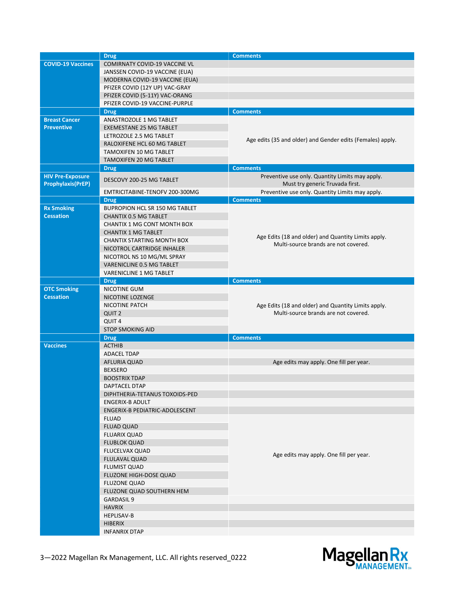|                                                     | <b>Drug</b>                           | <b>Comments</b>                                                                    |
|-----------------------------------------------------|---------------------------------------|------------------------------------------------------------------------------------|
| <b>COVID-19 Vaccines</b>                            | <b>COMIRNATY COVID-19 VACCINE VL</b>  |                                                                                    |
|                                                     | JANSSEN COVID-19 VACCINE (EUA)        |                                                                                    |
|                                                     | MODERNA COVID-19 VACCINE (EUA)        |                                                                                    |
|                                                     | PFIZER COVID (12Y UP) VAC-GRAY        |                                                                                    |
|                                                     | PFIZER COVID (5-11Y) VAC-ORANG        |                                                                                    |
|                                                     | PFIZER COVID-19 VACCINE-PURPLE        |                                                                                    |
|                                                     | <b>Drug</b>                           | <b>Comments</b>                                                                    |
| <b>Breast Cancer</b>                                | ANASTROZOLE 1 MG TABLET               |                                                                                    |
| <b>Preventive</b>                                   | <b>EXEMESTANE 25 MG TABLET</b>        |                                                                                    |
|                                                     | LETROZOLE 2.5 MG TABLET               | Age edits (35 and older) and Gender edits (Females) apply.                         |
|                                                     | RALOXIFENE HCL 60 MG TABLET           |                                                                                    |
|                                                     | <b>TAMOXIFEN 10 MG TABLET</b>         |                                                                                    |
|                                                     | TAMOXIFEN 20 MG TABLET                |                                                                                    |
|                                                     | <b>Drug</b>                           | <b>Comments</b>                                                                    |
| <b>HIV Pre-Exposure</b><br><b>Prophylaxis(PrEP)</b> | DESCOVY 200-25 MG TABLET              | Preventive use only. Quantity Limits may apply.<br>Must try generic Truvada first. |
|                                                     | EMTRICITABINE-TENOFV 200-300MG        | Preventive use only. Quantity Limits may apply.                                    |
|                                                     | <b>Drug</b>                           | <b>Comments</b>                                                                    |
| <b>Rx Smoking</b>                                   | <b>BUPROPION HCL SR 150 MG TABLET</b> |                                                                                    |
| <b>Cessation</b>                                    | <b>CHANTIX 0.5 MG TABLET</b>          |                                                                                    |
|                                                     | <b>CHANTIX 1 MG CONT MONTH BOX</b>    |                                                                                    |
|                                                     | <b>CHANTIX 1 MG TABLET</b>            |                                                                                    |
|                                                     | CHANTIX STARTING MONTH BOX            | Age Edits (18 and older) and Quantity Limits apply.                                |
|                                                     | NICOTROL CARTRIDGE INHALER            | Multi-source brands are not covered.                                               |
|                                                     | NICOTROL NS 10 MG/ML SPRAY            |                                                                                    |
|                                                     | <b>VARENICLINE 0.5 MG TABLET</b>      |                                                                                    |
|                                                     | <b>VARENICLINE 1 MG TABLET</b>        |                                                                                    |
|                                                     | <b>Drug</b>                           | <b>Comments</b>                                                                    |
| <b>OTC Smoking</b>                                  | NICOTINE GUM                          |                                                                                    |
| <b>Cessation</b>                                    | NICOTINE LOZENGE                      |                                                                                    |
|                                                     | NICOTINE PATCH                        | Age Edits (18 and older) and Quantity Limits apply.                                |
|                                                     | QUIT <sub>2</sub>                     | Multi-source brands are not covered.                                               |
|                                                     | QUIT <sub>4</sub>                     |                                                                                    |
|                                                     | <b>STOP SMOKING AID</b>               |                                                                                    |
|                                                     | <b>Drug</b>                           | <b>Comments</b>                                                                    |
| <b>Vaccines</b>                                     | <b>ACTHIB</b>                         |                                                                                    |
|                                                     | <b>ADACEL TDAP</b>                    |                                                                                    |
|                                                     | <b>AFLURIA QUAD</b>                   | Age edits may apply. One fill per year.                                            |
|                                                     | <b>BEXSERO</b>                        |                                                                                    |
|                                                     | <b>BOOSTRIX TDAP</b>                  |                                                                                    |
|                                                     | DAPTACEL DTAP                         |                                                                                    |
|                                                     | DIPHTHERIA-TETANUS TOXOIDS-PED        |                                                                                    |
|                                                     | <b>ENGERIX-B ADULT</b>                |                                                                                    |
|                                                     | ENGERIX-B PEDIATRIC-ADOLESCENT        |                                                                                    |
|                                                     | <b>FLUAD</b>                          |                                                                                    |
|                                                     | <b>FLUAD QUAD</b>                     |                                                                                    |
|                                                     | <b>FLUARIX QUAD</b>                   |                                                                                    |
|                                                     | <b>FLUBLOK QUAD</b>                   |                                                                                    |
|                                                     | <b>FLUCELVAX QUAD</b>                 | Age edits may apply. One fill per year.                                            |
|                                                     |                                       |                                                                                    |
|                                                     | <b>FLULAVAL QUAD</b>                  |                                                                                    |
|                                                     | <b>FLUMIST QUAD</b>                   |                                                                                    |
|                                                     | FLUZONE HIGH-DOSE QUAD                |                                                                                    |
|                                                     | <b>FLUZONE QUAD</b>                   |                                                                                    |
|                                                     | FLUZONE QUAD SOUTHERN HEM             |                                                                                    |
|                                                     | <b>GARDASIL 9</b>                     |                                                                                    |
|                                                     | <b>HAVRIX</b>                         |                                                                                    |
|                                                     | <b>HEPLISAV-B</b>                     |                                                                                    |
|                                                     | <b>HIBERIX</b>                        |                                                                                    |

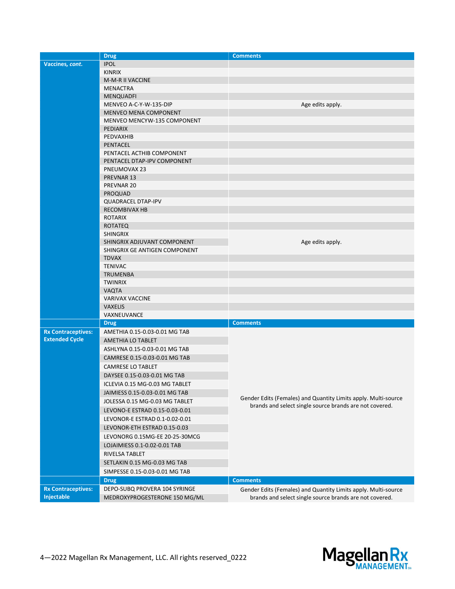|                           | <b>Drug</b>                                              | <b>Comments</b>                                                                                                           |
|---------------------------|----------------------------------------------------------|---------------------------------------------------------------------------------------------------------------------------|
| Vaccines, cont.           | <b>IPOL</b>                                              |                                                                                                                           |
|                           | <b>KINRIX</b>                                            |                                                                                                                           |
|                           | <b>M-M-R II VACCINE</b>                                  |                                                                                                                           |
|                           | <b>MENACTRA</b>                                          |                                                                                                                           |
|                           | <b>MENQUADFI</b>                                         |                                                                                                                           |
|                           | MENVEO A-C-Y-W-135-DIP                                   | Age edits apply.                                                                                                          |
|                           | <b>MENVEO MENA COMPONENT</b>                             |                                                                                                                           |
|                           | MENVEO MENCYW-135 COMPONENT                              |                                                                                                                           |
|                           | <b>PEDIARIX</b>                                          |                                                                                                                           |
|                           | <b>PEDVAXHIB</b>                                         |                                                                                                                           |
|                           | <b>PENTACEL</b>                                          |                                                                                                                           |
|                           | PENTACEL ACTHIB COMPONENT<br>PENTACEL DTAP-IPV COMPONENT |                                                                                                                           |
|                           | PNEUMOVAX 23                                             |                                                                                                                           |
|                           | PREVNAR 13                                               |                                                                                                                           |
|                           | PREVNAR 20                                               |                                                                                                                           |
|                           | <b>PROQUAD</b>                                           |                                                                                                                           |
|                           | <b>QUADRACEL DTAP-IPV</b>                                |                                                                                                                           |
|                           | <b>RECOMBIVAX HB</b>                                     |                                                                                                                           |
|                           | <b>ROTARIX</b>                                           |                                                                                                                           |
|                           | <b>ROTATEQ</b>                                           |                                                                                                                           |
|                           | <b>SHINGRIX</b>                                          |                                                                                                                           |
|                           | SHINGRIX ADJUVANT COMPONENT                              | Age edits apply.                                                                                                          |
|                           | SHINGRIX GE ANTIGEN COMPONENT                            |                                                                                                                           |
|                           | <b>TDVAX</b>                                             |                                                                                                                           |
|                           | <b>TENIVAC</b>                                           |                                                                                                                           |
|                           | <b>TRUMENBA</b>                                          |                                                                                                                           |
|                           | <b>TWINRIX</b>                                           |                                                                                                                           |
|                           | <b>VAQTA</b>                                             |                                                                                                                           |
|                           | <b>VARIVAX VACCINE</b>                                   |                                                                                                                           |
|                           | <b>VAXELIS</b>                                           |                                                                                                                           |
|                           | VAXNEUVANCE                                              |                                                                                                                           |
|                           | <b>Drug</b>                                              | <b>Comments</b>                                                                                                           |
| <b>Rx Contraceptives:</b> | AMETHIA 0.15-0.03-0.01 MG TAB                            |                                                                                                                           |
| <b>Extended Cycle</b>     | AMETHIA LO TABLET                                        |                                                                                                                           |
|                           | ASHLYNA 0.15-0.03-0.01 MG TAB                            |                                                                                                                           |
|                           | CAMRESE 0.15-0.03-0.01 MG TAB                            |                                                                                                                           |
|                           | <b>CAMRESE LO TABLET</b>                                 |                                                                                                                           |
|                           | DAYSEE 0.15-0.03-0.01 MG TAB                             |                                                                                                                           |
|                           | ICLEVIA 0.15 MG-0.03 MG TABLET                           |                                                                                                                           |
|                           | JAIMIESS 0.15-0.03-0.01 MG TAB                           | Gender Edits (Females) and Quantity Limits apply. Multi-source<br>brands and select single source brands are not covered. |
|                           | JOLESSA 0.15 MG-0.03 MG TABLET                           |                                                                                                                           |
|                           | LEVONO-E ESTRAD 0.15-0.03-0.01                           |                                                                                                                           |
|                           | LEVONOR-E ESTRAD 0.1-0.02-0.01                           |                                                                                                                           |
|                           | LEVONOR-ETH ESTRAD 0.15-0.03                             |                                                                                                                           |
|                           | LEVONORG 0.15MG-EE 20-25-30MCG                           |                                                                                                                           |
|                           | LOJAIMIESS 0.1-0.02-0.01 TAB                             |                                                                                                                           |
|                           | RIVELSA TABLET                                           |                                                                                                                           |
|                           | SETLAKIN 0.15 MG-0.03 MG TAB                             |                                                                                                                           |
|                           | SIMPESSE 0.15-0.03-0.01 MG TAB                           |                                                                                                                           |
|                           | <b>Drug</b>                                              | <b>Comments</b>                                                                                                           |
| <b>Rx Contraceptives:</b> | DEPO-SUBQ PROVERA 104 SYRINGE                            | Gender Edits (Females) and Quantity Limits apply. Multi-source                                                            |
| Injectable                | MEDROXYPROGESTERONE 150 MG/ML                            | brands and select single source brands are not covered.                                                                   |
|                           |                                                          |                                                                                                                           |

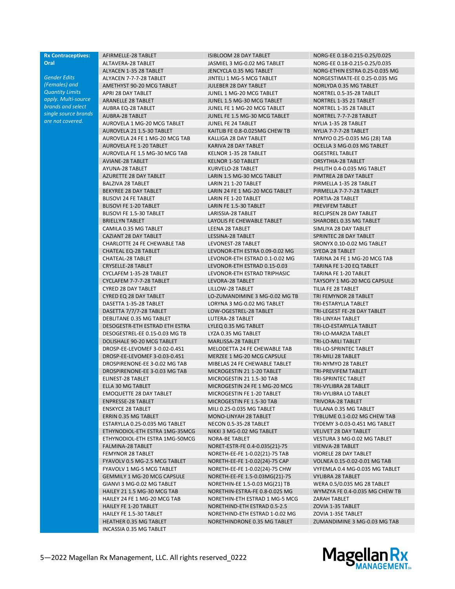## Rx Contraceptives: **Oral**

Gender Edits (Females) and Quantity Limits apply. Multi-source brands and select single source brands are not covered.

ALYACEN 7-7-7-28 TABLET JINTELI 1 MG-5 MCG TABLET NORGESTIMATE-EE 0.25-0.035 MG AMETHYST 90-20 MCG TABLET JULEBER 28 DAY TABLET NORLYDA 0.35 MG TABLET APRI 28 DAY TABLET **A CONSIDER THE CONSIDER THAT A CONSIDER TABLET** A CONSIDER THE CONSIDERT A CONSIDERT A CONSIDER ARANELLE 28 TABLET JUNEL 1.5 MG-30 MCG TABLET NORTREL 1-35 21 TABLET AUBRA EQ-28 TABLET **JUNEL FE 1 MG-20 MCG TABLET** NORTREL 1-35 28 TABLET AUBRA-28 TABLET JUNEL FE 1.5 MG-30 MCG TABLET NORTREL 7-7-7-28 TABLET AUROVELA 1 MG-20 MCG TABLET JUNEL FE 24 TABLET NYLIA 1-35 28 TABLET AUROVELA 21 1.5-30 TABLET KAITLIB FE 0.8-0.025MG CHEW TB NYLIA 7-7-7-28 TABLET AUROVELA 24 FE 1 MG-20 MCG TAB KALLIGA 28 DAY TABLET NYMYO 0.25-0.035 MG (28) TAB AUROVELA FE 1-20 TABLET KARIVA 28 DAY TABLET CELLA 3 MG-0.03 MG TABLET AUROVELA FE 1.5 MG-30 MCG TAB KELNOR 1-35 28 TABLET **STARILLY ASSESS** OGESTREL TABLET AVIANE-28 TABLET KELNOR 1-50 TABLET ORSYTHIA-28 TABLET AYUNA-28 TABLET KURVELO-28 TABLET PHILITH 0.4-0.035 MG TABLET AZURETTE 28 DAY TABLET AND REARIN 1.5 MG-30 MCG TABLET AND PIMTREA 28 DAY TABLET BALZIVA 28 TABLET LARIN 21 1-20 TABLET PIRMELLA 1-35 28 TABLET BEKYREE 28 DAY TABLET LARIN 24 FE 1 MG-20 MCG TABLET PIRMELLA 7-7-7-28 TABLET BLISOVI 24 FE TABLET 
LARIN FE 1-20 TABLET

LARIN FE 1-20 TABLET

LARIN FE 1-20 TABLET

LARIN FE 1-20 TABLET BLISOVI FE 1-20 TABLET **LARIN FE 1.5-30 TABLET** PREVIFEM TABLET BLISOVI FE 1.5-30 TABLET LARISSIA-28 TABLET RECLIPSEN 28 DAY TABLET BRIELLYN TABLET LAYOLIS FE CHEWABLE TABLET SHAROBEL 0.35 MG TABLET CAMILA 0.35 MG TABLET LEENA 28 TABLET SIMLIYA 28 DAY TABLET CAZIANT 28 DAY TABLET LESSINA-28 TABLET SPRINTEC 28 DAY TABLET CHARLOTTE 24 FE CHEWABLE TAB LEVONEST-28 TABLET SRONYX 0.10-0.02 MG TABLET CHATEAL EQ-28 TABLET LEVONOR-ETH ESTRA 0.09-0.02 MG SYEDA 28 TABLET CHATEAL-28 TABLET LEVONOR-ETH ESTRAD 0.1-0.02 MG TARINA 24 FE 1 MG-20 MCG TAB CRYSELLE-28 TABLET LEVONOR-ETH ESTRAD 0.15-0.03 TARINA FE 1-20 EQ TABLET CYCLAFEM 1-35-28 TABLET LEVONOR-ETH ESTRAD TRIPHASIC TARINA FE 1-20 TABLET CYCLAFEM 7-7-7-28 TABLET LEVORA-28 TABLET TAYSOFY 1 MG-20 MCG CAPSULE CYRED 28 DAY TABLET THE LILLOW-28 TABLET THE TILIA FE 28 TABLET CYRED EQ 28 DAY TABLET LO-ZUMANDIMINE 3 MG-0.02 MG TB TRI FEMYNOR 28 TABLET DASETTA 1-35-28 TABLET LORYNA 3 MG-0.02 MG TABLET TRI-ESTARYLLA TABLET DASETTA 7/7/7-28 TABLET LOW-OGESTREL-28 TABLET TRI-LEGEST FE-28 DAY TABLET DEBLITANE 0.35 MG TABLET LUTERA-28 TABLET TRI-LINYAH TABLET DESOGESTR-ETH ESTRAD ETH ESTRA LYLEQ 0.35 MG TABLET TRI-LO-ESTARYLLA TABLET DESOGESTREL-EE 0.15-0.03 MG TB LYZA 0.35 MG TABLET TRI-LO-MARZIA TABLET DOLISHALE 90-20 MCG TABLET MARLISSA-28 TABLET TRI-LO-MILI TABLET DROSP-EE-LEVOMEF 3-0.02-0.451 MELODETTA 24 FE CHEWABLE TAB TRI-LO-SPRINTEC TABLET DROSP-EE-LEVOMEF 3-0.03-0.451 MERZEE 1 MG-20 MCG CAPSULE TRI-MILI 28 TABLET DROSPIRENONE-EE 3-0.02 MG TAB MIBELAS 24 FE CHEWABLE TABLET TRI-NYMYO 28 TABLET DROSPIRENONE-EE 3-0.03 MG TAB MICROGESTIN 21 1-20 TABLET TRI-PREVIFEM TABLET ELINEST-28 TABLET MICROGESTIN 21 1.5-30 TAB TRI-SPRINTEC TABLET ELLA 30 MG TABLET MICROGESTIN 24 FE 1 MG-20 MCG TRI-VYLIBRA 28 TABLET EMOQUETTE 28 DAY TABLET MICROGESTIN FE 1-20 TABLET TRI-VYLIBRA LO TABLET ENPRESSE-28 TABLET MICROGESTIN FE 1.5-30 TAB TRIVORA-28 TABLET ENSKYCE 28 TABLET MILI 0.25-0.035 MG TABLET TULANA 0.35 MG TABLET ERRIN 0.35 MG TABLET MONO-LINYAH 28 TABLET TYBLUME 0.1-0.02 MG CHEW TAB ESTARYLLA 0.25-0.035 MG TABLET NECON 0.5-35-28 TABLET TYDEMY 3-0.03-0.451 MG TABLET ETHYNODIOL-ETH ESTRA 1MG-35MCG NIKKI 3 MG-0.02 MG TABLET VELIVET 28 DAY TABLET ETHYNODIOL-ETH ESTRA 1MG-50MCG NORA-BE TABLET VESTURA 3 MG-0.02 MG TABLET FALMINA-28 TABLET NORET-ESTR-FE 0.4-0.035(21)-75 VIENVA-28 TABLET FEMYNOR 28 TABLET NORETH-EE-FE 1-0.02(21)-75 TAB VIORELE 28 DAY TABLET FYAVOLV 0.5 MG-2.5 MCG TABLET NORETH-EE-FE 1-0.02(24)-75 CAP VOLNEA 0.15-0.02-0.01 MG TAB FYAVOLV 1 MG-5 MCG TABLET NORETH-EE-FE 1-0.02(24)-75 CHW VYFEMLA 0.4 MG-0.035 MG TABLET GEMMILY 1 MG-20 MCG CAPSULE NORETH-EE-FE 1.5-0.03MG(21)-75 VYLIBRA 28 TABLET GIANVI 3 MG-0.02 MG TABLET NORETHIN-EE 1.5-0.03 MG(21) TB WERA 0.5/0.035 MG 28 TABLET HAILEY 21 1.5 MG-30 MCG TAB NORETHIN-ESTRA-FE 0.8-0.025 MG WYMZYA FE 0.4-0.035 MG CHEW TB HAILEY 24 FE 1 MG-20 MCG TAB NORETHIN-ETH ESTRAD 1 MG-5 MCG ZARAH TABLET HAILEY FE 1-20 TABLET NORETHIND-ETH ESTRAD 0.5-2.5 ZOVIA 1-35 TABLET HAILEY FE 1.5-30 TABLET NORETHIND-ETH ESTRAD 1-0.02 MG ZOVIA 1-35E TABLET HEATHER 0.35 MG TABLET NORETHINDRONE 0.35 MG TABLET ZUMANDIMINE 3 MG-0.03 MG TAB INCASSIA 0.35 MG TABLET

AFIRMELLE-28 TABLET ISIBLOOM 28 DAY TABLET NORG-FE 0.18-0.215-0.25/0.025 ALTAVERA-28 TABLET JASMIEL 3 MG-0.02 MG TABLET NORG-EE 0.18-0.215-0.25/0.035 ALYACEN 1-35 28 TABLET JENCYCLA 0.35 MG TABLET NORG-ETHIN ESTRA 0.25-0.035 MG